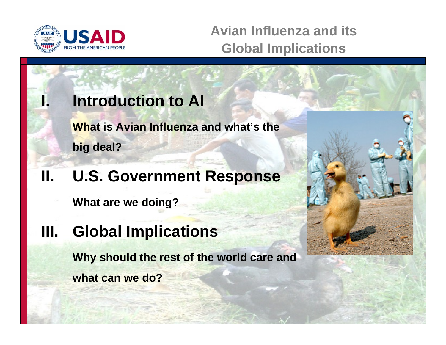

**Avian Influenza and its Global Implications**

## **Introduction to AI**

**What is Avian Influenza and what's the big deal?** 

## **II. U.S. Government Response**

**What are we doing?** 

**III. Global Implications** 

**Why should the rest of the world care and what can we do?** 

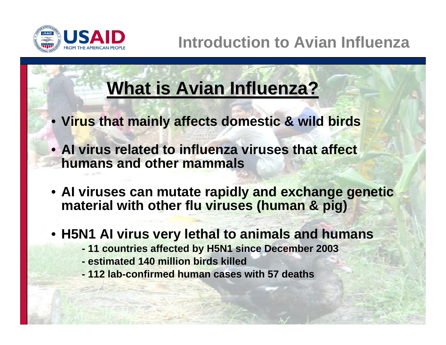

# **What is Avian Influenza?**

- **Virus that mainly affects domestic & wild birds**
- **AI virus related to influenza viruses that affect humans and other mammals**
- **AI viruses can mutate rapidly and exchange genetic material with other flu viruses (human & pig)**
- **H5N1 AI virus very lethal to animals and humans** 
	- **- 11 countries affected by H5N1 since December 2003**
	- **- estimated 140 million birds killed**
	- **- 112 lab-confirmed human cases with 57 deaths**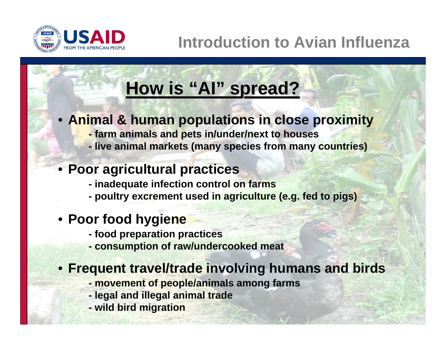

#### **How is "AI " spread? spread?**

### • **Animal & human populations in close proximity -**

- **farm animals and pets in/under/next to houses**
- **- live animal markets (many species from many countries)**

### • **Poor agricultural practices**

- **- inadequate infection control on farms**
- **- poultry excrement used in agriculture (e.g. fed to pigs)**

### • **Poor food hygiene**

- **- food preparation practices**
- **- consumption of raw/undercooked meat**

### • **Frequent travel/trade involving humans and birds**

- **- movement of people/animals among farms**
- **- legal and illegal animal trade**
- **- wild bird migration**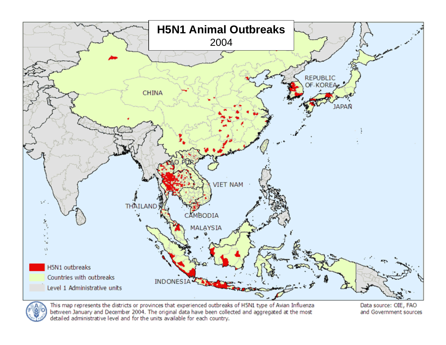



This map represents the districts or provinces that experienced outbreaks of H5N1 type of Avian Influenza between January and December 2004. The original data have been collected and aggregated at the most detailed administrative level and for the units available for each country.

Data source: OIE, FAO and Government sources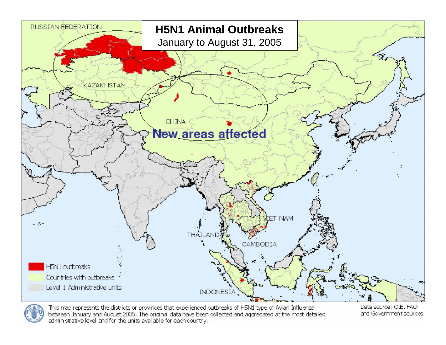

This map represents the districts or provinces that experienced outbreaks of H5N1 type of Avian Influenzal between January and August 2005. The original data have been collected and aggregated at the most detailed administrative level and for the units available for each country.

Data source: OIE, FAO and Government sources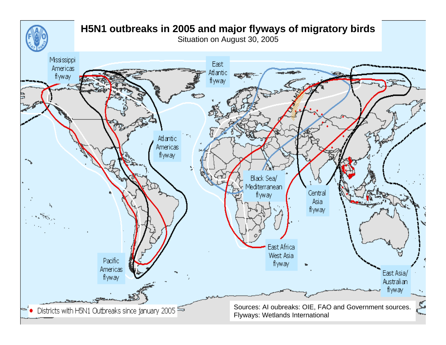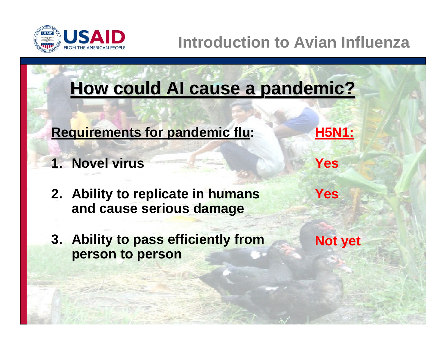

## **Introduction to Avian Influenza**

# **How could AI cause a pandemic? How could AI cause a pandemic?**

- **Requirements for pandemic flu:** H5N1:
- **1. Novel virus Yes All Yes**
- **2. Ability to replicate in humans and cause serious damage**
- **3. Ability to pass efficiently from person to person**

**Not yet** 

**Yes**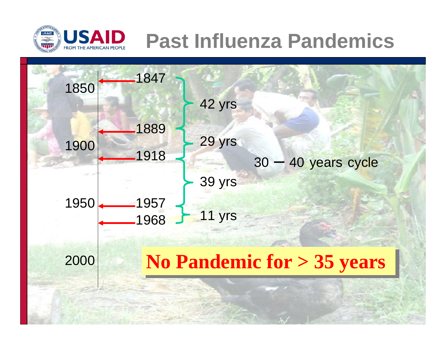

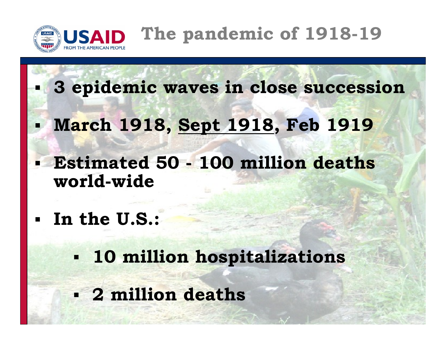

- **3 epidemic waves in close succession**
- **March 1918, Sept 1918, Feb 1919**
- **Estimated 50 - 100 million deaths world-wide**
- **In the U.S.:**

Ξ

 **10 million hospitalizations 2 million deaths**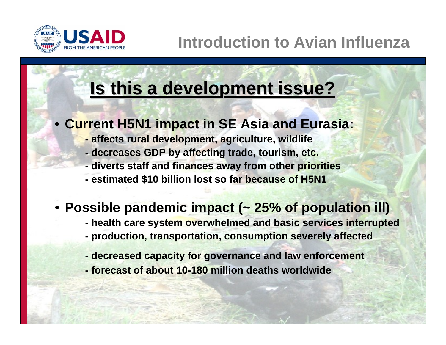

# **Is this a development issue? Is this a development issue?**

- **Current H5N1 impact in SE Asia and Eurasia:** 
	- **- affects rural development, agriculture, wildlife**
	- **- decreases GDP by affecting trade, tourism, etc.**
	- **- diverts staff and finances away from other priorities**
	- **- estimated \$10 billion lost so far because of H5N1**

### • **Possible pandemic impact (~ 25% of population ill)**

- **- health care system overwhelmed and basic services interrupted**
- **- production, transportation, consumption severely affected**
- **- decreased capacity for governance and law enforcement**
- **- forecast of about 10-180 million deaths worldwide**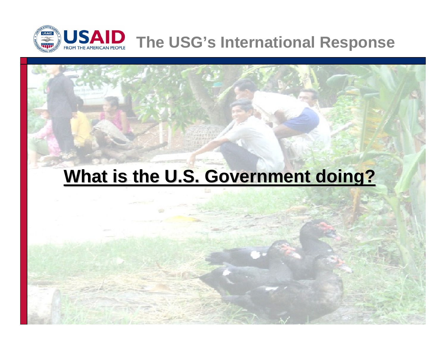

# **What is the U.S. Government doing?**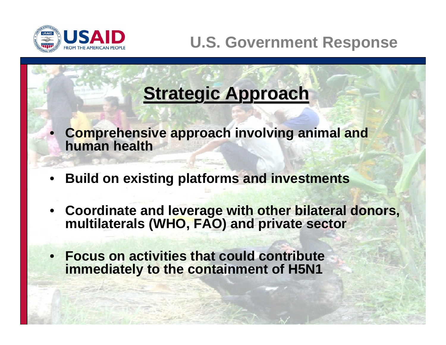

•

## **U.S. Government Response**

# **Strategic Approach Strategic Approach**

- **Comprehensive approach involving animal and human health**
- •**Build on existing platforms and investments**
- • **Coordinate and leverage with other bilateral donors, multilaterals (WHO, FAO) and private sector**
- • **Focus on activities that could contribute immediately to the containment of H5N1**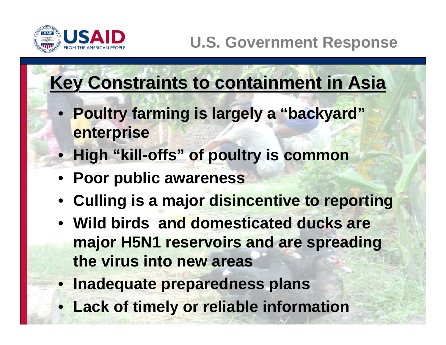

# **Key Constraints to containment in Asia**

- **Poultry farming is largely a "backyard" enterprise**
- **High "kill-offs" of poultry is common**
- **Poor public awareness**
- **Culling is a major disincentive to reporting**
- **Wild birds and domesticated ducks are major H5N1 reservoirs and are spreading the virus into new areas**
- **Inadequate preparedness plans**
- **Lack of timely or reliable information**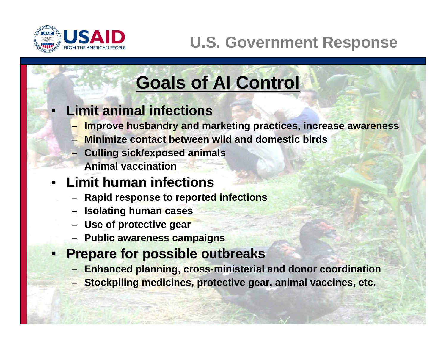

•

## **U.S. Government Response**

# **Goals of AI Control Goals of AI Control**

### **Limit animal infections Limit animal infections**

- **Improve husbandry and marketing practices, increase awareness**
- **Minimize contact between wild and domestic birds**
- **Culling sick/exposed animals**
- **Animal vaccination**

### • **Limit human infections Limit human infections**

- **Rapid response to reported infections**
- **Isolating human cases**
- **Use of protective gear**
- **Public awareness campaigns**
- **Prepare for possible outbreaks Prepare for possible outbreaks**
	- **Enhanced planning, cross-ministerial and donor coordination**
	- **Stockpiling medicines, protective gear, animal vaccines, etc.**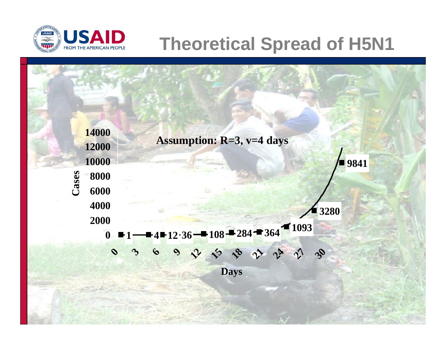

# **Theoretical Spread of H5N1**

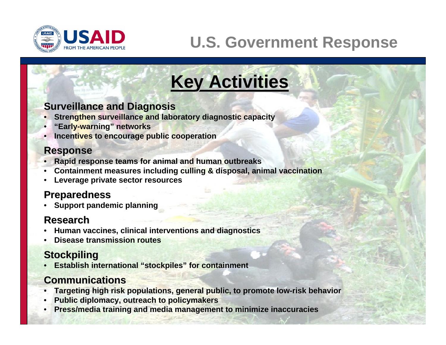

## **U.S. Government Response**

# **Key Activities Key Activities**

#### **Surveillance and Diagnosis**

- **Strengthen surveillance and laboratory diagnostic capacity**
- **"Early-warning" networks**
- **Incentives to encourage public cooperation**

#### **Response Response**

- **Rapid response teams for animal and human outbreaks**
- **Containment measures including culling & disposal, animal vaccination**
- **Leverage private sector resources**

#### **Preparedness Preparedness**

• **Support pandemic planning** 

#### **Research Research**

- **Human vaccines, clinical interventions and diagnostics**
- **Disease transmission routes**

#### **Stockpiling Stockpiling**

• **Establish international "stockpiles" for containment** 

#### **Communications Communications**

- **Targeting high risk populations, general public, to promote low-risk behavior**
- **Public diplomacy, outreach to policymakers**
- **Press/media training and media management to minimize inaccuracies**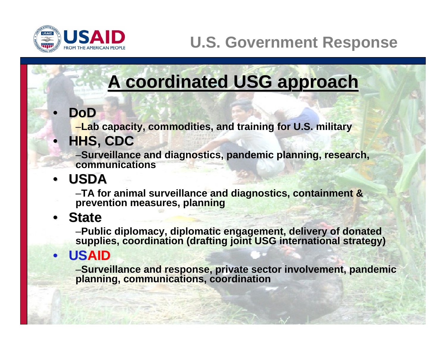

## **U.S. Government Response**

# **A coordinated USG approach A coordinated USG approach**

### **DoD**

•

–**Lab capacity, commodities, and training for U.S. military** 

## • **HHS, CDC HHS, CDC**

–**Surveillance and diagnostics, pandemic planning, research, communications** 

## • **USDA**

–**TA for animal surveillance and diagnostics, containment & prevention measures, planning** 

### • **State**

–**Public diplomacy, diplomatic engagement, delivery of donated supplies, coordination (drafting joint USG international strategy)** 

### • **USAID**

–**Surveillance and response, private sector involvement, pandemic planning, communications, coordination**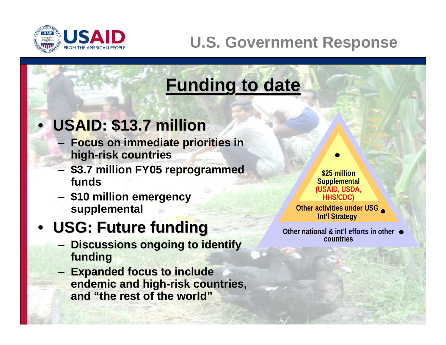

## **U.S. Government Response**

# **Funding to date Funding to date**

## • **USAID: \$13.7 million**

- **Focus on immediate priorities in high-risk countries**
- **\$3.7 million FY05 reprogrammed funds**
- **\$10 million emergency supplemental**

## • **USG: Future funding USG: Future funding**

- **Discussions ongoing to identify funding funding**
- **Expanded focus to include Expanded focus to include endemic and high-risk countries, and "the rest of the world" and "the rest of the world"**

**\$25 million Supplemental (USAID, USDA, HHS/CDC)** 

**Other activities under USG Int'l Strategy** 

**Other national & int'l efforts in other countries**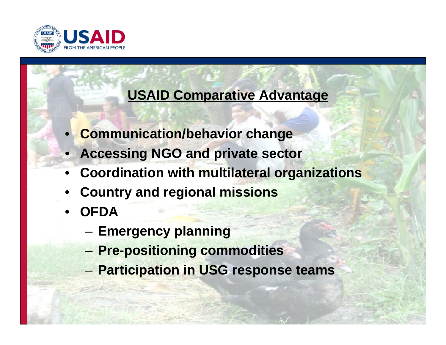

### **USAID Comparative Advantage**

- **Communication/behavior change**
- **Accessing NGO and private sector**
- **Coordination with multilateral organizations**
- **Country and regional missions**
- **OFDA** 
	- **Emergency planning**
	- **Pre-positioning commodities**
	- **Participation in USG response teams**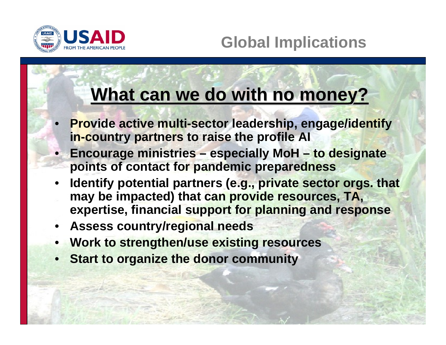

# **What can we do with no money?**

- • **Provide active multi-sector leadership, engage/identify in-country partners to raise the profile AI**
- **Encourage ministries especially MoH to designate points of contact for pandemic preparedness**
- • **Identify potential partners (e.g., private sector orgs. that may be impacted) that can provide resources, TA, expertise, financial support for planning and response**
- **Assess country/regional needs**
- **Work to strengthen/use existing resources**
- •**Start to organize the donor community**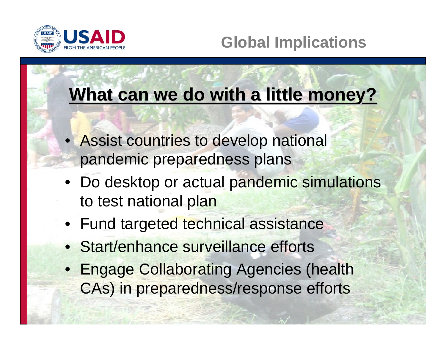

## **Global Implications**

# **What can we do with a little money?**

- Assist countries to develop national pandemic preparedness plans
- Do desktop or actual pandemic simulations to test national plan
- Fund targeted technical assistance
- Start/enhance surveillance efforts
- Engage Collaborating Agencies (health CAs) in preparedness/response efforts